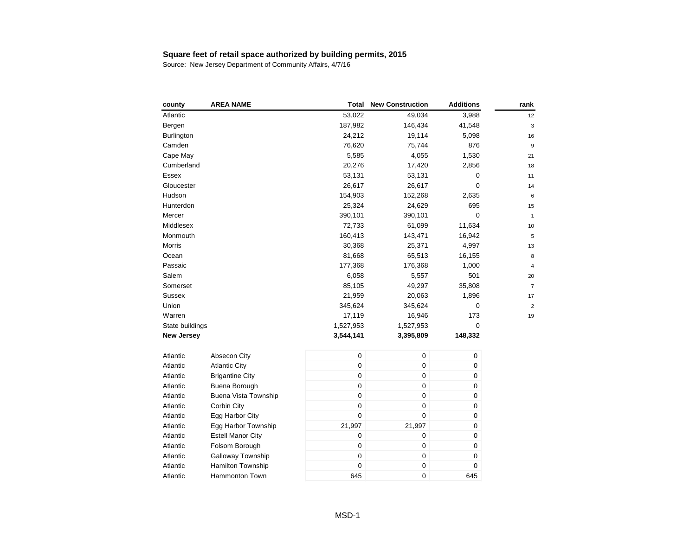| county            | <b>AREA NAME</b>         | <b>Total</b>     | <b>New Construction</b> | <b>Additions</b> | rank           |
|-------------------|--------------------------|------------------|-------------------------|------------------|----------------|
| Atlantic          |                          | 53,022           | 49,034                  | 3,988            | 12             |
| Bergen            |                          | 187,982          | 146,434                 | 41,548           | 3              |
| <b>Burlington</b> |                          | 24,212           | 19,114                  | 5,098            | 16             |
| Camden            |                          | 76,620           | 75,744                  | 876              | 9              |
| Cape May          |                          | 5,585            | 4,055                   | 1,530            | 21             |
| Cumberland        |                          | 20,276           | 17,420                  | 2,856            | 18             |
| Essex             |                          | 53,131           | 53,131                  | 0                | 11             |
| Gloucester        |                          | 26,617           | 26,617                  | 0                | 14             |
| Hudson            |                          | 154,903          | 152,268                 | 2,635            | 6              |
| Hunterdon         |                          | 25,324           | 24,629                  | 695              | 15             |
| Mercer            |                          | 390,101          | 390,101                 | $\mathbf 0$      | $\mathbf{1}$   |
| Middlesex         |                          | 72,733           | 61,099                  | 11,634           | 10             |
| Monmouth          |                          | 160,413          | 143,471                 | 16,942           | 5              |
| Morris            |                          | 30,368           | 25,371                  | 4,997            | 13             |
| Ocean             |                          | 81,668           | 65,513                  | 16,155           | 8              |
| Passaic           |                          | 177,368          | 176,368                 | 1,000            | 4              |
| Salem             |                          | 6,058            | 5,557                   | 501              | 20             |
| Somerset          |                          | 85,105           | 49,297                  | 35,808           | $\overline{7}$ |
| Sussex            |                          | 21,959           | 20,063                  | 1,896            | 17             |
| Union             |                          | 345,624          | 345,624                 | 0                | $\overline{c}$ |
| Warren            |                          | 17,119           | 16,946                  | 173              | 19             |
| State buildings   |                          | 1,527,953        | 1,527,953               | 0                |                |
| <b>New Jersey</b> |                          | 3,544,141        | 3,395,809               | 148,332          |                |
| Atlantic          | Absecon City             | $\mathsf 0$      | 0                       | 0                |                |
| Atlantic          | <b>Atlantic City</b>     | $\mathbf 0$      | 0                       | 0                |                |
| Atlantic          | <b>Brigantine City</b>   | $\mathbf 0$      | 0                       | 0                |                |
| Atlantic          | Buena Borough            | $\pmb{0}$        | 0                       | 0                |                |
| Atlantic          | Buena Vista Township     | $\pmb{0}$        | 0                       | 0                |                |
| Atlantic          | Corbin City              | $\mathbf 0$      | 0                       | 0                |                |
| Atlantic          | Egg Harbor City          | $\mathbf 0$      | 0                       | 0                |                |
| Atlantic          | Egg Harbor Township      | 21,997           | 21,997                  | 0                |                |
| Atlantic          | <b>Estell Manor City</b> | $\boldsymbol{0}$ | 0                       | 0                |                |
| Atlantic          | Folsom Borough           | 0                | 0                       | 0                |                |
| Atlantic          | Galloway Township        | $\pmb{0}$        | 0                       | 0                |                |
| Atlantic          | Hamilton Township        | $\mathbf 0$      | 0                       | 0                |                |
| Atlantic          | <b>Hammonton Town</b>    | 645              | 0                       | 645              |                |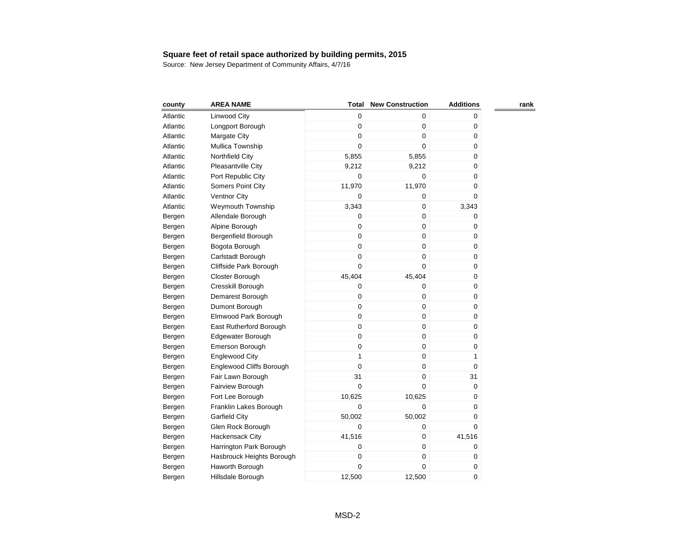| county   | <b>AREA NAME</b>                | Total            | <b>New Construction</b> | <b>Additions</b> | rank |
|----------|---------------------------------|------------------|-------------------------|------------------|------|
| Atlantic | Linwood City                    | 0                | 0                       | 0                |      |
| Atlantic | Longport Borough                | 0                | 0                       | 0                |      |
| Atlantic | Margate City                    | 0                | 0                       | 0                |      |
| Atlantic | Mullica Township                | 0                | 0                       | 0                |      |
| Atlantic | Northfield City                 | 5,855            | 5,855                   | 0                |      |
| Atlantic | Pleasantville City              | 9,212            | 9,212                   | 0                |      |
| Atlantic | Port Republic City              | 0                | 0                       | 0                |      |
| Atlantic | Somers Point City               | 11,970           | 11,970                  | $\pmb{0}$        |      |
| Atlantic | Ventnor City                    | $\mathbf 0$      | 0                       | 0                |      |
| Atlantic | <b>Weymouth Township</b>        | 3,343            | 0                       | 3,343            |      |
| Bergen   | Allendale Borough               | $\boldsymbol{0}$ | 0                       | 0                |      |
| Bergen   | Alpine Borough                  | 0                | 0                       | 0                |      |
| Bergen   | Bergenfield Borough             | $\mathsf 0$      | 0                       | 0                |      |
| Bergen   | Bogota Borough                  | 0                | 0                       | 0                |      |
| Bergen   | Carlstadt Borough               | 0                | 0                       | 0                |      |
| Bergen   | Cliffside Park Borough          | 0                | $\mathbf 0$             | 0                |      |
| Bergen   | Closter Borough                 | 45,404           | 45,404                  | 0                |      |
| Bergen   | Cresskill Borough               | $\mathbf 0$      | 0                       | $\pmb{0}$        |      |
| Bergen   | Demarest Borough                | 0                | 0                       | 0                |      |
| Bergen   | Dumont Borough                  | 0                | 0                       | 0                |      |
| Bergen   | Elmwood Park Borough            | 0                | 0                       | 0                |      |
| Bergen   | East Rutherford Borough         | 0                | 0                       | 0                |      |
| Bergen   | Edgewater Borough               | $\mathbf 0$      | 0                       | 0                |      |
| Bergen   | Emerson Borough                 | $\mathbf 0$      | 0                       | 0                |      |
| Bergen   | <b>Englewood City</b>           | $\mathbf{1}$     | 0                       | $\mathbf{1}$     |      |
| Bergen   | <b>Englewood Cliffs Borough</b> | 0                | 0                       | 0                |      |
| Bergen   | Fair Lawn Borough               | 31               | 0                       | 31               |      |
| Bergen   | Fairview Borough                | 0                | 0                       | 0                |      |
| Bergen   | Fort Lee Borough                | 10,625           | 10,625                  | 0                |      |
| Bergen   | Franklin Lakes Borough          | 0                | 0                       | 0                |      |
| Bergen   | <b>Garfield City</b>            | 50,002           | 50,002                  | 0                |      |
| Bergen   | Glen Rock Borough               | 0                | 0                       | 0                |      |
| Bergen   | Hackensack City                 | 41,516           | 0                       | 41,516           |      |
| Bergen   | Harrington Park Borough         | 0                | 0                       | 0                |      |
| Bergen   | Hasbrouck Heights Borough       | 0                | 0                       | 0                |      |
| Bergen   | Haworth Borough                 | 0                | 0                       | 0                |      |
| Bergen   | Hillsdale Borough               | 12,500           | 12,500                  | 0                |      |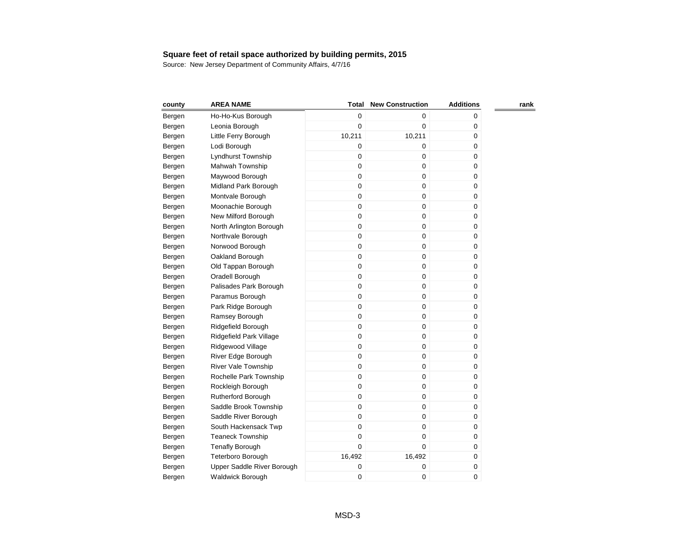| county | <b>AREA NAME</b>           | Total       | <b>New Construction</b> | <b>Additions</b> | rank |
|--------|----------------------------|-------------|-------------------------|------------------|------|
| Bergen | Ho-Ho-Kus Borough          | 0           | 0                       | 0                |      |
| Bergen | Leonia Borough             | 0           | $\mathbf 0$             | 0                |      |
| Bergen | Little Ferry Borough       | 10,211      | 10,211                  | 0                |      |
| Bergen | Lodi Borough               | 0           | 0                       | 0                |      |
| Bergen | Lyndhurst Township         | 0           | 0                       | 0                |      |
| Bergen | Mahwah Township            | 0           | 0                       | 0                |      |
| Bergen | Maywood Borough            | 0           | 0                       | 0                |      |
| Bergen | Midland Park Borough       | 0           | 0                       | 0                |      |
| Bergen | Montvale Borough           | 0           | 0                       | 0                |      |
| Bergen | Moonachie Borough          | 0           | 0                       | 0                |      |
| Bergen | New Milford Borough        | $\mathbf 0$ | 0                       | 0                |      |
| Bergen | North Arlington Borough    | 0           | 0                       | $\pmb{0}$        |      |
| Bergen | Northvale Borough          | $\mathbf 0$ | 0                       | 0                |      |
| Bergen | Norwood Borough            | 0           | 0                       | 0                |      |
| Bergen | Oakland Borough            | 0           | 0                       | 0                |      |
| Bergen | Old Tappan Borough         | 0           | 0                       | 0                |      |
| Bergen | Oradell Borough            | 0           | 0                       | 0                |      |
| Bergen | Palisades Park Borough     | 0           | 0                       | 0                |      |
| Bergen | Paramus Borough            | 0           | 0                       | 0                |      |
| Bergen | Park Ridge Borough         | 0           | 0                       | 0                |      |
| Bergen | Ramsey Borough             | 0           | 0                       | 0                |      |
| Bergen | Ridgefield Borough         | 0           | 0                       | 0                |      |
| Bergen | Ridgefield Park Village    | 0           | 0                       | 0                |      |
| Bergen | Ridgewood Village          | 0           | 0                       | 0                |      |
| Bergen | River Edge Borough         | 0           | 0                       | 0                |      |
| Bergen | River Vale Township        | 0           | 0                       | 0                |      |
| Bergen | Rochelle Park Township     | 0           | 0                       | 0                |      |
| Bergen | Rockleigh Borough          | 0           | 0                       | 0                |      |
| Bergen | Rutherford Borough         | 0           | 0                       | 0                |      |
| Bergen | Saddle Brook Township      | 0           | 0                       | 0                |      |
| Bergen | Saddle River Borough       | 0           | 0                       | 0                |      |
| Bergen | South Hackensack Twp       | 0           | 0                       | 0                |      |
| Bergen | <b>Teaneck Township</b>    | 0           | 0                       | 0                |      |
| Bergen | <b>Tenafly Borough</b>     | $\mathbf 0$ | 0                       | 0                |      |
| Bergen | Teterboro Borough          | 16,492      | 16,492                  | 0                |      |
| Bergen | Upper Saddle River Borough | 0           | 0                       | 0                |      |
| Bergen | Waldwick Borough           | 0           | 0                       | 0                |      |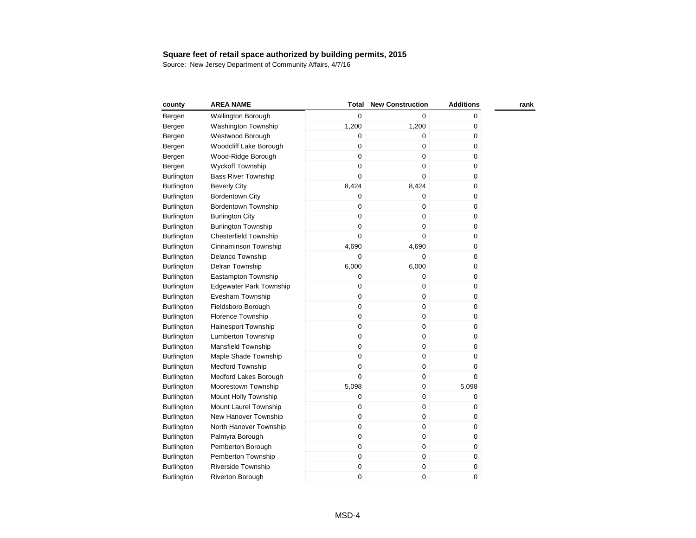| county            | <b>AREA NAME</b>               | <b>Total</b> | <b>New Construction</b> | <b>Additions</b> | rank |
|-------------------|--------------------------------|--------------|-------------------------|------------------|------|
| Bergen            | <b>Wallington Borough</b>      | $\mathbf 0$  | $\mathbf 0$             | 0                |      |
| Bergen            | <b>Washington Township</b>     | 1,200        | 1,200                   | 0                |      |
| Bergen            | Westwood Borough               | 0            | 0                       | 0                |      |
| Bergen            | Woodcliff Lake Borough         | 0            | $\mathbf 0$             | 0                |      |
| Bergen            | Wood-Ridge Borough             | $\mathbf 0$  | $\mathbf 0$             | 0                |      |
| Bergen            | <b>Wyckoff Township</b>        | $\mathbf 0$  | $\mathbf 0$             | 0                |      |
| Burlington        | <b>Bass River Township</b>     | $\mathbf 0$  | $\mathbf 0$             | 0                |      |
| <b>Burlington</b> | <b>Beverly City</b>            | 8,424        | 8,424                   | 0                |      |
| <b>Burlington</b> | <b>Bordentown City</b>         | 0            | 0                       | 0                |      |
| <b>Burlington</b> | <b>Bordentown Township</b>     | $\mathsf 0$  | $\mathbf 0$             | 0                |      |
| <b>Burlington</b> | <b>Burlington City</b>         | $\mathbf 0$  | $\mathbf 0$             | 0                |      |
| <b>Burlington</b> | <b>Burlington Township</b>     | $\mathbf 0$  | $\mathbf 0$             | 0                |      |
| <b>Burlington</b> | <b>Chesterfield Township</b>   | $\mathbf 0$  | $\mathbf 0$             | 0                |      |
| Burlington        | Cinnaminson Township           | 4,690        | 4,690                   | 0                |      |
| Burlington        | Delanco Township               | $\mathbf 0$  | $\mathbf 0$             | 0                |      |
| <b>Burlington</b> | Delran Township                | 6,000        | 6,000                   | 0                |      |
| Burlington        | Eastampton Township            | $\mathbf 0$  | $\mathbf 0$             | 0                |      |
| <b>Burlington</b> | <b>Edgewater Park Township</b> | 0            | $\pmb{0}$               | 0                |      |
| <b>Burlington</b> | Evesham Township               | 0            | $\mathbf 0$             | 0                |      |
| <b>Burlington</b> | Fieldsboro Borough             | 0            | $\mathbf 0$             | 0                |      |
| <b>Burlington</b> | Florence Township              | $\mathbf 0$  | $\mathbf 0$             | 0                |      |
| <b>Burlington</b> | <b>Hainesport Township</b>     | $\mathbf 0$  | $\mathbf 0$             | 0                |      |
| <b>Burlington</b> | <b>Lumberton Township</b>      | 0            | $\pmb{0}$               | 0                |      |
| <b>Burlington</b> | <b>Mansfield Township</b>      | 0            | $\pmb{0}$               | 0                |      |
| <b>Burlington</b> | Maple Shade Township           | 0            | 0                       | 0                |      |
| <b>Burlington</b> | <b>Medford Township</b>        | 0            | 0                       | 0                |      |
| Burlington        | Medford Lakes Borough          | $\mathbf 0$  | 0                       | 0                |      |
| <b>Burlington</b> | Moorestown Township            | 5,098        | $\mathbf 0$             | 5,098            |      |
| <b>Burlington</b> | Mount Holly Township           | 0            | $\pmb{0}$               | 0                |      |
| <b>Burlington</b> | Mount Laurel Township          | 0            | $\mathbf 0$             | 0                |      |
| Burlington        | New Hanover Township           | 0            | $\pmb{0}$               | 0                |      |
| Burlington        | North Hanover Township         | $\mathbf 0$  | 0                       | 0                |      |
| Burlington        | Palmyra Borough                | $\mathbf 0$  | $\pmb{0}$               | 0                |      |
| <b>Burlington</b> | Pemberton Borough              | 0            | $\pmb{0}$               | 0                |      |
| <b>Burlington</b> | Pemberton Township             | 0            | $\pmb{0}$               | 0                |      |
| <b>Burlington</b> | <b>Riverside Township</b>      | 0            | $\pmb{0}$               | 0                |      |
| Burlington        | Riverton Borough               | 0            | 0                       | 0                |      |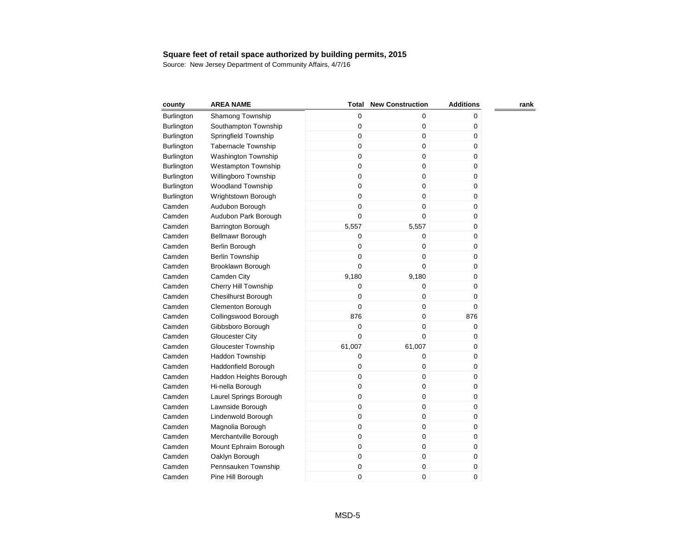| county     | <b>AREA NAME</b>           | Total       | <b>New Construction</b> | <b>Additions</b> | rank |
|------------|----------------------------|-------------|-------------------------|------------------|------|
| Burlington | Shamong Township           | $\mathbf 0$ | 0                       | 0                |      |
| Burlington | Southampton Township       | $\mathbf 0$ | $\pmb{0}$               | 0                |      |
| Burlington | Springfield Township       | $\mathbf 0$ | $\pmb{0}$               | 0                |      |
| Burlington | <b>Tabernacle Township</b> | $\mathbf 0$ | $\mathbf 0$             | $\pmb{0}$        |      |
| Burlington | <b>Washington Township</b> | $\mathbf 0$ | $\mathbf 0$             | 0                |      |
| Burlington | <b>Westampton Township</b> | $\mathbf 0$ | $\mathbf 0$             | 0                |      |
| Burlington | Willingboro Township       | $\mathbf 0$ | $\pmb{0}$               | $\pmb{0}$        |      |
| Burlington | <b>Woodland Township</b>   | $\mathbf 0$ | $\mathbf 0$             | $\mathbf 0$      |      |
| Burlington | Wrightstown Borough        | $\mathbf 0$ | $\pmb{0}$               | 0                |      |
| Camden     | Audubon Borough            | $\mathbf 0$ | $\boldsymbol{0}$        | 0                |      |
| Camden     | Audubon Park Borough       | $\mathbf 0$ | $\mathbf 0$             | $\pmb{0}$        |      |
| Camden     | <b>Barrington Borough</b>  | 5,557       | 5,557                   | $\mathbf 0$      |      |
| Camden     | Bellmawr Borough           | $\mathbf 0$ | $\mathbf 0$             | 0                |      |
| Camden     | Berlin Borough             | $\mathbf 0$ | $\boldsymbol{0}$        | 0                |      |
| Camden     | Berlin Township            | $\mathbf 0$ | $\pmb{0}$               | 0                |      |
| Camden     | Brooklawn Borough          | $\mathbf 0$ | $\mathbf 0$             | 0                |      |
| Camden     | Camden City                | 9,180       | 9,180                   | 0                |      |
| Camden     | Cherry Hill Township       | $\mathbf 0$ | $\pmb{0}$               | 0                |      |
| Camden     | <b>Chesilhurst Borough</b> | $\mathbf 0$ | 0                       | 0                |      |
| Camden     | <b>Clementon Borough</b>   | $\mathbf 0$ | $\mathbf 0$             | 0                |      |
| Camden     | Collingswood Borough       | 876         | $\pmb{0}$               | 876              |      |
| Camden     | Gibbsboro Borough          | $\mathbf 0$ | $\mathbf 0$             | 0                |      |
| Camden     | <b>Gloucester City</b>     | $\Omega$    | $\mathbf 0$             | 0                |      |
| Camden     | <b>Gloucester Township</b> | 61,007      | 61,007                  | 0                |      |
| Camden     | Haddon Township            | $\mathbf 0$ | $\boldsymbol{0}$        | 0                |      |
| Camden     | Haddonfield Borough        | 0           | 0                       | 0                |      |
| Camden     | Haddon Heights Borough     | $\mathbf 0$ | $\mathbf 0$             | 0                |      |
| Camden     | Hi-nella Borough           | $\mathbf 0$ | $\boldsymbol{0}$        | 0                |      |
| Camden     | Laurel Springs Borough     | $\mathbf 0$ | $\boldsymbol{0}$        | 0                |      |
| Camden     | Lawnside Borough           | $\mathbf 0$ | $\mathbf 0$             | 0                |      |
| Camden     | Lindenwold Borough         | $\mathbf 0$ | $\boldsymbol{0}$        | 0                |      |
| Camden     | Magnolia Borough           | $\mathbf 0$ | $\boldsymbol{0}$        | 0                |      |
| Camden     | Merchantville Borough      | $\mathbf 0$ | $\boldsymbol{0}$        | 0                |      |
| Camden     | Mount Ephraim Borough      | $\mathbf 0$ | $\pmb{0}$               | 0                |      |
| Camden     | Oaklyn Borough             | $\mathbf 0$ | $\boldsymbol{0}$        | 0                |      |
| Camden     | Pennsauken Township        | $\pmb{0}$   | 0                       | 0                |      |
| Camden     | Pine Hill Borough          | $\mathbf 0$ | 0                       | 0                |      |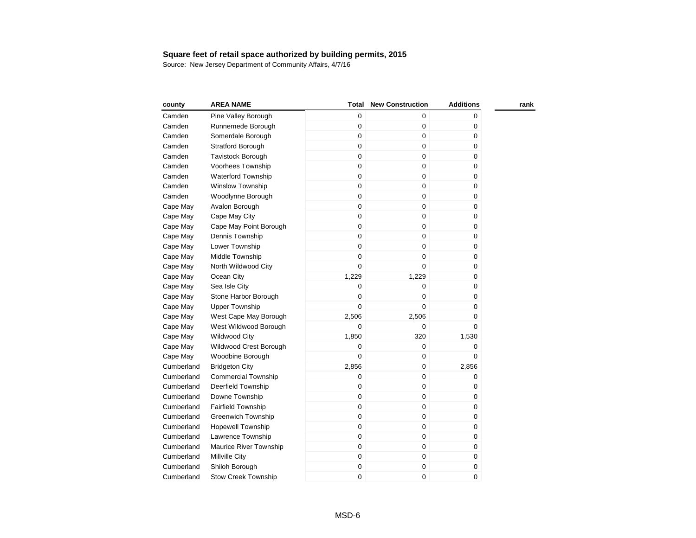| county     | <b>AREA NAME</b>           | Total       | <b>New Construction</b> | <b>Additions</b> | rank |
|------------|----------------------------|-------------|-------------------------|------------------|------|
| Camden     | Pine Valley Borough        | $\mathbf 0$ | $\pmb{0}$               | 0                |      |
| Camden     | Runnemede Borough          | 0           | $\pmb{0}$               | 0                |      |
| Camden     | Somerdale Borough          | 0           | $\pmb{0}$               | 0                |      |
| Camden     | Stratford Borough          | $\mathbf 0$ | $\mathbf 0$             | 0                |      |
| Camden     | <b>Tavistock Borough</b>   | 0           | $\mathbf 0$             | 0                |      |
| Camden     | Voorhees Township          | 0           | $\mathbf 0$             | 0                |      |
| Camden     | <b>Waterford Township</b>  | 0           | $\pmb{0}$               | 0                |      |
| Camden     | <b>Winslow Township</b>    | 0           | $\pmb{0}$               | 0                |      |
| Camden     | Woodlynne Borough          | $\mathsf 0$ | $\mathbf 0$             | 0                |      |
| Cape May   | Avalon Borough             | 0           | $\mathbf 0$             | 0                |      |
| Cape May   | Cape May City              | $\mathbf 0$ | $\pmb{0}$               | 0                |      |
| Cape May   | Cape May Point Borough     | $\mathbf 0$ | $\pmb{0}$               | 0                |      |
| Cape May   | Dennis Township            | $\mathbf 0$ | $\mathbf 0$             | 0                |      |
| Cape May   | Lower Township             | $\mathbf 0$ | $\mathbf 0$             | 0                |      |
| Cape May   | Middle Township            | $\mathbf 0$ | $\mathbf 0$             | 0                |      |
| Cape May   | North Wildwood City        | $\mathbf 0$ | $\mathbf 0$             | 0                |      |
| Cape May   | Ocean City                 | 1,229       | 1,229                   | 0                |      |
| Cape May   | Sea Isle City              | $\mathbf 0$ | $\mathbf 0$             | 0                |      |
| Cape May   | Stone Harbor Borough       | 0           | $\mathbf 0$             | 0                |      |
| Cape May   | <b>Upper Township</b>      | $\mathbf 0$ | $\mathbf 0$             | 0                |      |
| Cape May   | West Cape May Borough      | 2,506       | 2,506                   | 0                |      |
| Cape May   | West Wildwood Borough      | 0           | $\mathbf 0$             | 0                |      |
| Cape May   | <b>Wildwood City</b>       | 1,850       | 320                     | 1,530            |      |
| Cape May   | Wildwood Crest Borough     | 0           | $\mathbf 0$             | 0                |      |
| Cape May   | Woodbine Borough           | 0           | $\mathbf 0$             | 0                |      |
| Cumberland | <b>Bridgeton City</b>      | 2,856       | $\pmb{0}$               | 2,856            |      |
| Cumberland | <b>Commercial Township</b> | 0           | $\mathbf 0$             | 0                |      |
| Cumberland | Deerfield Township         | 0           | $\mathbf 0$             | 0                |      |
| Cumberland | Downe Township             | $\mathbf 0$ | $\mathbf 0$             | 0                |      |
| Cumberland | <b>Fairfield Township</b>  | $\mathbf 0$ | $\pmb{0}$               | 0                |      |
| Cumberland | <b>Greenwich Township</b>  | 0           | $\pmb{0}$               | 0                |      |
| Cumberland | <b>Hopewell Township</b>   | $\mathbf 0$ | $\mathbf 0$             | 0                |      |
| Cumberland | Lawrence Township          | $\mathbf 0$ | $\mathbf 0$             | 0                |      |
| Cumberland | Maurice River Township     | $\mathbf 0$ | $\pmb{0}$               | 0                |      |
| Cumberland | Millville City             | 0           | $\pmb{0}$               | 0                |      |
| Cumberland | Shiloh Borough             | 0           | $\pmb{0}$               | 0                |      |
| Cumberland | <b>Stow Creek Township</b> | 0           | $\mathbf 0$             | 0                |      |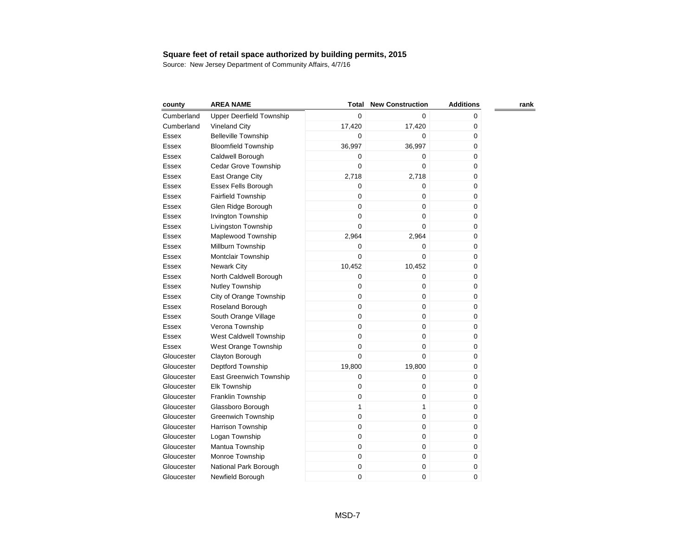| county       | <b>AREA NAME</b>                | <b>Total</b> | <b>New Construction</b> | <b>Additions</b> | rank |
|--------------|---------------------------------|--------------|-------------------------|------------------|------|
| Cumberland   | <b>Upper Deerfield Township</b> | 0            | $\Omega$                | 0                |      |
| Cumberland   | <b>Vineland City</b>            | 17,420       | 17,420                  | 0                |      |
| Essex        | <b>Belleville Township</b>      | $\mathbf 0$  | 0                       | 0                |      |
| Essex        | <b>Bloomfield Township</b>      | 36,997       | 36,997                  | 0                |      |
| Essex        | Caldwell Borough                | $\mathbf 0$  | 0                       | 0                |      |
| Essex        | Cedar Grove Township            | 0            | $\mathbf 0$             | 0                |      |
| Essex        | East Orange City                | 2,718        | 2,718                   | 0                |      |
| Essex        | Essex Fells Borough             | 0            | 0                       | $\pmb{0}$        |      |
| Essex        | Fairfield Township              | 0            | 0                       | 0                |      |
| Essex        | Glen Ridge Borough              | $\mathbf 0$  | $\mathbf 0$             | 0                |      |
| Essex        | Irvington Township              | 0            | $\mathbf 0$             | 0                |      |
| Essex        | Livingston Township             | 0            | 0                       | 0                |      |
| Essex        | Maplewood Township              | 2,964        | 2,964                   | $\pmb{0}$        |      |
| Essex        | Millburn Township               | 0            | 0                       | $\pmb{0}$        |      |
| Essex        | <b>Montclair Township</b>       | 0            | 0                       | $\mathbf 0$      |      |
| Essex        | <b>Newark City</b>              | 10,452       | 10,452                  | 0                |      |
| Essex        | North Caldwell Borough          | 0            | 0                       | 0                |      |
| Essex        | Nutley Township                 | 0            | 0                       | $\mathbf 0$      |      |
| Essex        | City of Orange Township         | 0            | $\mathbf 0$             | 0                |      |
| Essex        | Roseland Borough                | 0            | $\mathbf 0$             | 0                |      |
| Essex        | South Orange Village            | 0            | 0                       | 0                |      |
| <b>Essex</b> | Verona Township                 | 0            | 0                       | 0                |      |
| Essex        | West Caldwell Township          | 0            | $\pmb{0}$               | 0                |      |
| Essex        | West Orange Township            | 0            | $\mathbf 0$             | 0                |      |
| Gloucester   | Clayton Borough                 | $\mathbf 0$  | 0                       | 0                |      |
| Gloucester   | Deptford Township               | 19,800       | 19,800                  | 0                |      |
| Gloucester   | East Greenwich Township         | 0            | 0                       | 0                |      |
| Gloucester   | Elk Township                    | 0            | 0                       | 0                |      |
| Gloucester   | Franklin Township               | $\mathbf 0$  | 0                       | 0                |      |
| Gloucester   | Glassboro Borough               | $\mathbf{1}$ | 1                       | 0                |      |
| Gloucester   | <b>Greenwich Township</b>       | $\mathbf 0$  | 0                       | 0                |      |
| Gloucester   | Harrison Township               | $\mathbf 0$  | 0                       | 0                |      |
| Gloucester   | Logan Township                  | $\mathbf 0$  | 0                       | 0                |      |
| Gloucester   | Mantua Township                 | $\mathbf 0$  | 0                       | 0                |      |
| Gloucester   | Monroe Township                 | $\mathbf 0$  | 0                       | 0                |      |
| Gloucester   | National Park Borough           | 0            | 0                       | 0                |      |
| Gloucester   | Newfield Borough                | 0            | 0                       | 0                |      |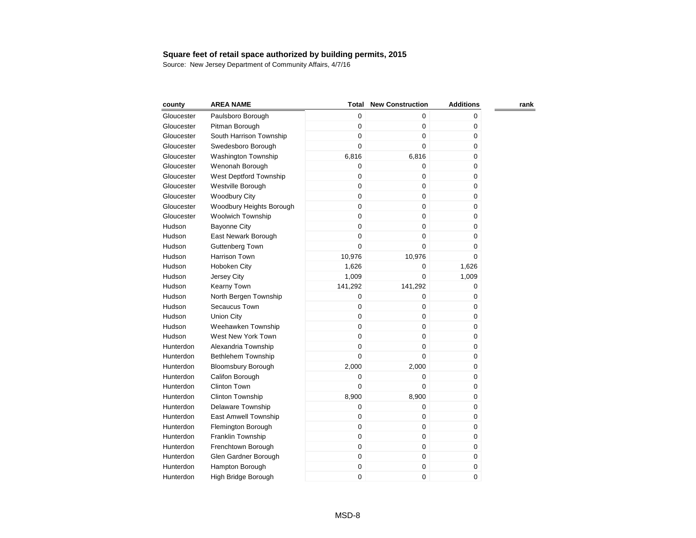| county     | <b>AREA NAME</b>          | Total       | <b>New Construction</b> | <b>Additions</b> | rank |
|------------|---------------------------|-------------|-------------------------|------------------|------|
| Gloucester | Paulsboro Borough         | $\mathbf 0$ | 0                       | 0                |      |
| Gloucester | Pitman Borough            | $\mathbf 0$ | $\boldsymbol{0}$        | 0                |      |
| Gloucester | South Harrison Township   | $\mathbf 0$ | $\boldsymbol{0}$        | 0                |      |
| Gloucester | Swedesboro Borough        | $\mathbf 0$ | $\mathbf 0$             | 0                |      |
| Gloucester | Washington Township       | 6,816       | 6,816                   | 0                |      |
| Gloucester | Wenonah Borough           | $\mathbf 0$ | 0                       | 0                |      |
| Gloucester | West Deptford Township    | $\mathbf 0$ | $\pmb{0}$               | 0                |      |
| Gloucester | Westville Borough         | $\mathbf 0$ | $\mathbf 0$             | 0                |      |
| Gloucester | <b>Woodbury City</b>      | $\mathbf 0$ | $\mathbf 0$             | 0                |      |
| Gloucester | Woodbury Heights Borough  | $\mathbf 0$ | $\mathbf 0$             | 0                |      |
| Gloucester | <b>Woolwich Township</b>  | $\mathbf 0$ | $\mathbf 0$             | 0                |      |
| Hudson     | <b>Bayonne City</b>       | $\mathbf 0$ | $\pmb{0}$               | 0                |      |
| Hudson     | East Newark Borough       | $\mathbf 0$ | $\mathbf 0$             | 0                |      |
| Hudson     | <b>Guttenberg Town</b>    | $\mathbf 0$ | $\mathbf 0$             | $\pmb{0}$        |      |
| Hudson     | <b>Harrison Town</b>      | 10,976      | 10,976                  | $\mathbf 0$      |      |
| Hudson     | Hoboken City              | 1,626       | 0                       | 1,626            |      |
| Hudson     | Jersey City               | 1,009       | $\mathbf 0$             | 1,009            |      |
| Hudson     | Kearny Town               | 141,292     | 141,292                 | $\pmb{0}$        |      |
| Hudson     | North Bergen Township     | $\mathbf 0$ | $\mathbf 0$             | 0                |      |
| Hudson     | Secaucus Town             | $\mathbf 0$ | $\mathbf 0$             | 0                |      |
| Hudson     | <b>Union City</b>         | $\mathbf 0$ | $\boldsymbol{0}$        | 0                |      |
| Hudson     | Weehawken Township        | $\mathbf 0$ | $\boldsymbol{0}$        | 0                |      |
| Hudson     | West New York Town        | $\mathbf 0$ | $\pmb{0}$               | 0                |      |
| Hunterdon  | Alexandria Township       | $\mathbf 0$ | $\mathbf 0$             | 0                |      |
| Hunterdon  | <b>Bethlehem Township</b> | $\mathbf 0$ | $\mathbf 0$             | 0                |      |
| Hunterdon  | <b>Bloomsbury Borough</b> | 2,000       | 2,000                   | 0                |      |
| Hunterdon  | Califon Borough           | $\mathbf 0$ | 0                       | 0                |      |
| Hunterdon  | <b>Clinton Town</b>       | $\mathbf 0$ | 0                       | 0                |      |
| Hunterdon  | <b>Clinton Township</b>   | 8,900       | 8,900                   | 0                |      |
| Hunterdon  | Delaware Township         | $\mathbf 0$ | $\mathbf 0$             | 0                |      |
| Hunterdon  | East Amwell Township      | $\mathbf 0$ | 0                       | 0                |      |
| Hunterdon  | Flemington Borough        | $\mathbf 0$ | 0                       | 0                |      |
| Hunterdon  | Franklin Township         | $\mathbf 0$ | $\mathbf 0$             | 0                |      |
| Hunterdon  | Frenchtown Borough        | $\mathbf 0$ | $\boldsymbol{0}$        | 0                |      |
| Hunterdon  | Glen Gardner Borough      | $\mathbf 0$ | $\pmb{0}$               | 0                |      |
| Hunterdon  | Hampton Borough           | $\mathbf 0$ | $\pmb{0}$               | $\pmb{0}$        |      |
| Hunterdon  | High Bridge Borough       | $\mathbf 0$ | 0                       | 0                |      |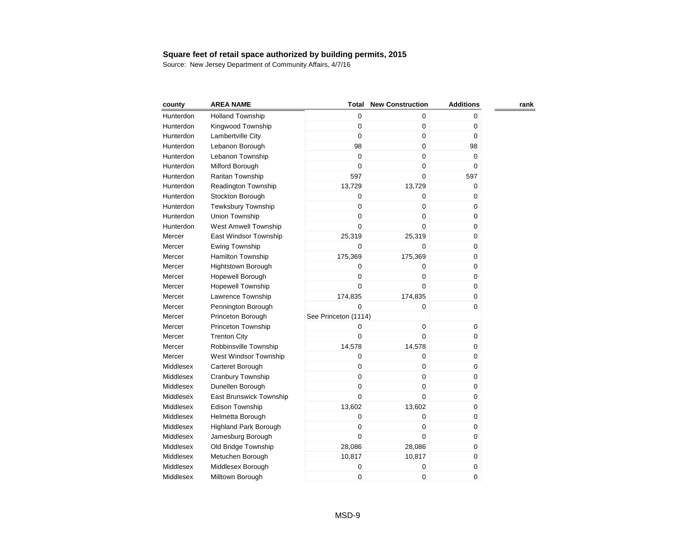| county    | <b>AREA NAME</b>            | Total                | <b>New Construction</b> | <b>Additions</b> | rank |
|-----------|-----------------------------|----------------------|-------------------------|------------------|------|
| Hunterdon | <b>Holland Township</b>     | 0                    | 0                       | 0                |      |
| Hunterdon | Kingwood Township           | $\mathbf 0$          | $\boldsymbol{0}$        | 0                |      |
| Hunterdon | Lambertville City           | $\mathbf 0$          | $\boldsymbol{0}$        | 0                |      |
| Hunterdon | Lebanon Borough             | 98                   | $\mathbf 0$             | 98               |      |
| Hunterdon | Lebanon Township            | $\mathbf 0$          | $\mathbf 0$             | $\mathbf 0$      |      |
| Hunterdon | Milford Borough             | $\mathbf 0$          | $\mathbf 0$             | $\Omega$         |      |
| Hunterdon | Raritan Township            | 597                  | $\mathbf 0$             | 597              |      |
| Hunterdon | <b>Readington Township</b>  | 13,729               | 13,729                  | 0                |      |
| Hunterdon | Stockton Borough            | $\mathbf 0$          | $\mathbf 0$             | $\pmb{0}$        |      |
| Hunterdon | <b>Tewksbury Township</b>   | $\mathbf 0$          | $\mathbf 0$             | $\mathbf 0$      |      |
| Hunterdon | Union Township              | $\mathbf 0$          | $\mathbf 0$             | 0                |      |
| Hunterdon | <b>West Amwell Township</b> | $\mathbf 0$          | $\mathbf 0$             | 0                |      |
| Mercer    | East Windsor Township       | 25,319               | 25,319                  | $\pmb{0}$        |      |
| Mercer    | Ewing Township              | $\mathbf 0$          | 0                       | $\pmb{0}$        |      |
| Mercer    | <b>Hamilton Township</b>    | 175,369              | 175,369                 | $\mathbf 0$      |      |
| Mercer    | <b>Hightstown Borough</b>   | $\mathbf 0$          | $\mathbf 0$             | 0                |      |
| Mercer    | Hopewell Borough            | $\mathbf 0$          | $\pmb{0}$               | 0                |      |
| Mercer    | <b>Hopewell Township</b>    | $\mathbf 0$          | $\mathbf 0$             | $\pmb{0}$        |      |
| Mercer    | Lawrence Township           | 174,835              | 174,835                 | 0                |      |
| Mercer    | Pennington Borough          | $\Omega$             | $\mathbf 0$             | 0                |      |
| Mercer    | Princeton Borough           | See Princeton (1114) |                         |                  |      |
| Mercer    | Princeton Township          | 0                    | $\boldsymbol{0}$        | 0                |      |
| Mercer    | <b>Trenton City</b>         | $\mathbf 0$          | 0                       | 0                |      |
| Mercer    | Robbinsville Township       | 14,578               | 14,578                  | 0                |      |
| Mercer    | West Windsor Township       | $\mathbf 0$          | $\pmb{0}$               | 0                |      |
| Middlesex | Carteret Borough            | $\mathbf 0$          | 0                       | 0                |      |
| Middlesex | Cranbury Township           | $\mathbf 0$          | 0                       | 0                |      |
| Middlesex | Dunellen Borough            | $\mathbf 0$          | 0                       | 0                |      |
| Middlesex | East Brunswick Township     | $\mathbf 0$          | 0                       | 0                |      |
| Middlesex | <b>Edison Township</b>      | 13,602               | 13,602                  | 0                |      |
| Middlesex | Helmetta Borough            | $\mathbf 0$          | $\pmb{0}$               | 0                |      |
| Middlesex | Highland Park Borough       | $\mathbf 0$          | $\mathbf 0$             | 0                |      |
| Middlesex | Jamesburg Borough           | $\mathbf 0$          | 0                       | 0                |      |
| Middlesex | Old Bridge Township         | 28,086               | 28,086                  | 0                |      |
| Middlesex | Metuchen Borough            | 10,817               | 10,817                  | 0                |      |
| Middlesex | Middlesex Borough           | 0                    | 0                       | 0                |      |
| Middlesex | Milltown Borough            | $\mathbf 0$          | 0                       | 0                |      |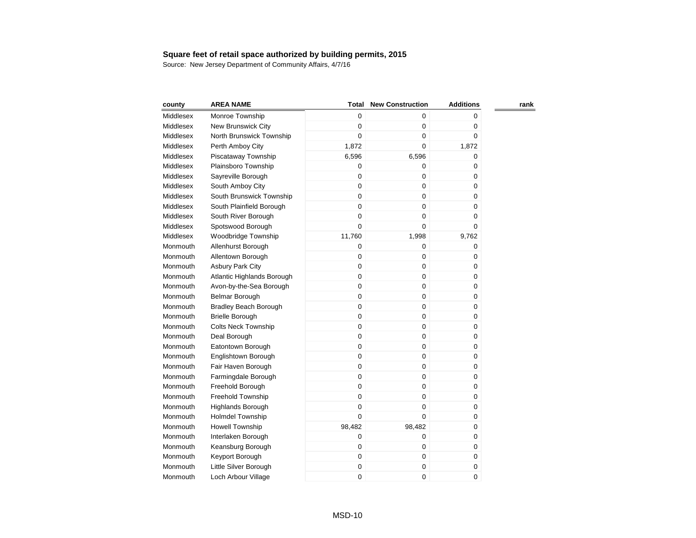| county    | <b>AREA NAME</b>             | <b>Total</b> | <b>New Construction</b> | <b>Additions</b> | rank |
|-----------|------------------------------|--------------|-------------------------|------------------|------|
| Middlesex | Monroe Township              | 0            | $\mathbf 0$             | 0                |      |
| Middlesex | New Brunswick City           | 0            | $\mathbf 0$             | $\pmb{0}$        |      |
| Middlesex | North Brunswick Township     | 0            | $\pmb{0}$               | 0                |      |
| Middlesex | Perth Amboy City             | 1,872        | $\mathbf 0$             | 1,872            |      |
| Middlesex | Piscataway Township          | 6,596        | 6,596                   | 0                |      |
| Middlesex | Plainsboro Township          | 0            | $\mathbf 0$             | 0                |      |
| Middlesex | Sayreville Borough           | $\mathbf 0$  | $\mathbf 0$             | 0                |      |
| Middlesex | South Amboy City             | $\mathbf 0$  | $\mathbf 0$             | 0                |      |
| Middlesex | South Brunswick Township     | 0            | 0                       | 0                |      |
| Middlesex | South Plainfield Borough     | 0            | $\mathbf 0$             | $\pmb{0}$        |      |
| Middlesex | South River Borough          | 0            | $\mathbf 0$             | $\pmb{0}$        |      |
| Middlesex | Spotswood Borough            | 0            | $\Omega$                | $\mathbf 0$      |      |
| Middlesex | Woodbridge Township          | 11,760       | 1,998                   | 9,762            |      |
| Monmouth  | Allenhurst Borough           | 0            | $\pmb{0}$               | 0                |      |
| Monmouth  | Allentown Borough            | $\mathbf 0$  | $\mathbf 0$             | 0                |      |
| Monmouth  | Asbury Park City             | $\mathbf 0$  | $\mathbf 0$             | 0                |      |
| Monmouth  | Atlantic Highlands Borough   | $\mathbf 0$  | $\mathbf 0$             | 0                |      |
| Monmouth  | Avon-by-the-Sea Borough      | $\mathbf 0$  | $\pmb{0}$               | 0                |      |
| Monmouth  | <b>Belmar Borough</b>        | $\mathbf 0$  | $\pmb{0}$               | 0                |      |
| Monmouth  | <b>Bradley Beach Borough</b> | 0            | $\pmb{0}$               | 0                |      |
| Monmouth  | <b>Brielle Borough</b>       | $\mathbf 0$  | $\mathbf 0$             | 0                |      |
| Monmouth  | <b>Colts Neck Township</b>   | $\mathbf 0$  | $\mathbf 0$             | 0                |      |
| Monmouth  | Deal Borough                 | 0            | $\pmb{0}$               | 0                |      |
| Monmouth  | Eatontown Borough            | 0            | $\mathbf 0$             | 0                |      |
| Monmouth  | Englishtown Borough          | 0            | 0                       | 0                |      |
| Monmouth  | Fair Haven Borough           | $\mathbf 0$  | 0                       | 0                |      |
| Monmouth  | Farmingdale Borough          | 0            | 0                       | 0                |      |
| Monmouth  | Freehold Borough             | $\mathbf 0$  | $\mathbf 0$             | 0                |      |
| Monmouth  | Freehold Township            | $\mathbf 0$  | $\mathbf 0$             | 0                |      |
| Monmouth  | <b>Highlands Borough</b>     | 0            | 0                       | 0                |      |
| Monmouth  | <b>Holmdel Township</b>      | 0            | $\boldsymbol{0}$        | 0                |      |
| Monmouth  | <b>Howell Township</b>       | 98,482       | 98,482                  | 0                |      |
| Monmouth  | Interlaken Borough           | 0            | $\mathbf 0$             | 0                |      |
| Monmouth  | Keansburg Borough            | 0            | $\boldsymbol{0}$        | 0                |      |
| Monmouth  | Keyport Borough              | 0            | $\boldsymbol{0}$        | 0                |      |
| Monmouth  | Little Silver Borough        | 0            | $\boldsymbol{0}$        | 0                |      |
| Monmouth  | Loch Arbour Village          | 0            | $\mathbf 0$             | 0                |      |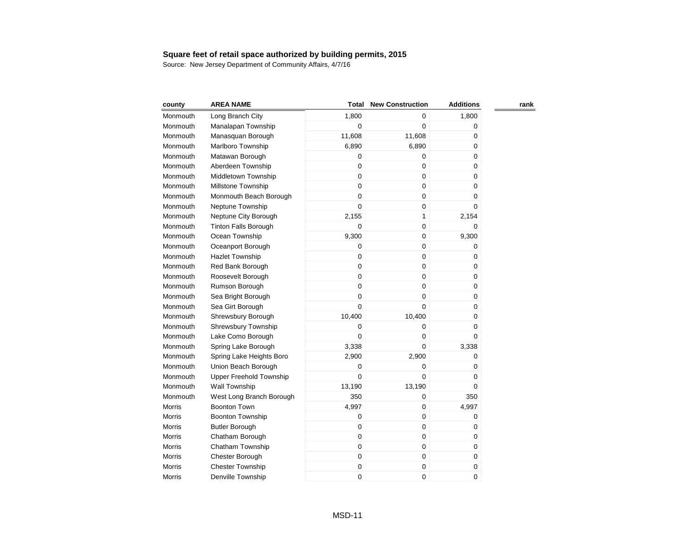| county        | <b>AREA NAME</b>            | Total       | <b>New Construction</b> | <b>Additions</b> | rank |
|---------------|-----------------------------|-------------|-------------------------|------------------|------|
| Monmouth      | Long Branch City            | 1,800       | 0                       | 1,800            |      |
| Monmouth      | Manalapan Township          | 0           | $\mathbf 0$             | 0                |      |
| Monmouth      | Manasquan Borough           | 11,608      | 11,608                  | 0                |      |
| Monmouth      | Marlboro Township           | 6,890       | 6,890                   | 0                |      |
| Monmouth      | Matawan Borough             | 0           | $\mathbf 0$             | 0                |      |
| Monmouth      | Aberdeen Township           | $\mathbf 0$ | $\boldsymbol{0}$        | 0                |      |
| Monmouth      | Middletown Township         | 0           | $\pmb{0}$               | 0                |      |
| Monmouth      | Millstone Township          | $\mathbf 0$ | $\mathbf 0$             | 0                |      |
| Monmouth      | Monmouth Beach Borough      | $\mathbf 0$ | $\mathbf 0$             | 0                |      |
| Monmouth      | Neptune Township            | $\Omega$    | $\mathbf 0$             | 0                |      |
| Monmouth      | Neptune City Borough        | 2,155       | 1                       | 2,154            |      |
| Monmouth      | <b>Tinton Falls Borough</b> | 0           | $\pmb{0}$               | 0                |      |
| Monmouth      | Ocean Township              | 9,300       | $\mathbf 0$             | 9,300            |      |
| Monmouth      | Oceanport Borough           | $\mathbf 0$ | $\mathbf 0$             | 0                |      |
| Monmouth      | <b>Hazlet Township</b>      | $\mathbf 0$ | $\mathbf 0$             | 0                |      |
| Monmouth      | Red Bank Borough            | $\mathbf 0$ | $\mathbf 0$             | 0                |      |
| Monmouth      | Roosevelt Borough           | $\mathbf 0$ | $\boldsymbol{0}$        | 0                |      |
| Monmouth      | Rumson Borough              | $\mathsf 0$ | $\mathbf 0$             | 0                |      |
| Monmouth      | Sea Bright Borough          | $\mathbf 0$ | $\mathbf 0$             | 0                |      |
| Monmouth      | Sea Girt Borough            | $\mathbf 0$ | $\mathbf 0$             | 0                |      |
| Monmouth      | Shrewsbury Borough          | 10,400      | 10,400                  | 0                |      |
| Monmouth      | Shrewsbury Township         | 0           | $\boldsymbol{0}$        | 0                |      |
| Monmouth      | Lake Como Borough           | 0           | $\mathbf 0$             | 0                |      |
| Monmouth      | Spring Lake Borough         | 3,338       | $\mathbf 0$             | 3,338            |      |
| Monmouth      | Spring Lake Heights Boro    | 2,900       | 2,900                   | 0                |      |
| Monmouth      | Union Beach Borough         | 0           | $\mathbf 0$             | 0                |      |
| Monmouth      | Upper Freehold Township     | 0           | $\mathbf 0$             | 0                |      |
| Monmouth      | Wall Township               | 13,190      | 13,190                  | 0                |      |
| Monmouth      | West Long Branch Borough    | 350         | $\mathbf 0$             | 350              |      |
| <b>Morris</b> | <b>Boonton Town</b>         | 4,997       | $\boldsymbol{0}$        | 4,997            |      |
| Morris        | <b>Boonton Township</b>     | 0           | 0                       | 0                |      |
| <b>Morris</b> | <b>Butler Borough</b>       | 0           | 0                       | 0                |      |
| <b>Morris</b> | Chatham Borough             | $\mathbf 0$ | $\mathbf 0$             | 0                |      |
| Morris        | Chatham Township            | $\mathbf 0$ | $\pmb{0}$               | 0                |      |
| Morris        | Chester Borough             | 0           | $\pmb{0}$               | 0                |      |
| Morris        | <b>Chester Township</b>     | 0           | $\pmb{0}$               | 0                |      |
| Morris        | Denville Township           | $\mathbf 0$ | 0                       | 0                |      |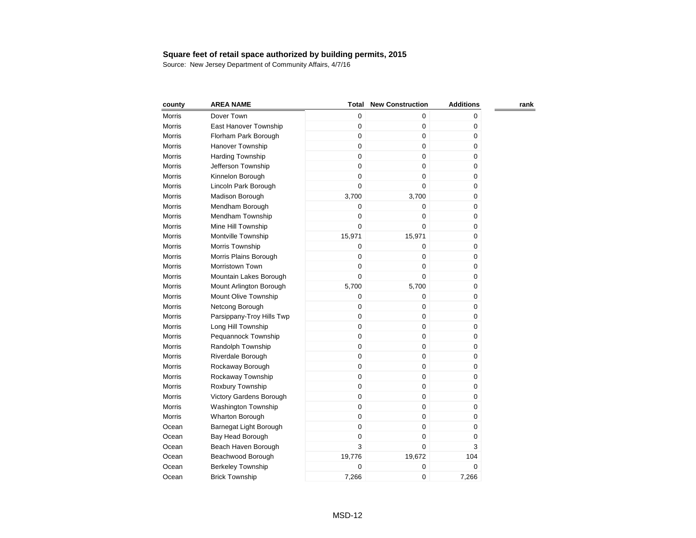| county        | <b>AREA NAME</b>          | Total  | <b>New Construction</b> | <b>Additions</b> | rank |
|---------------|---------------------------|--------|-------------------------|------------------|------|
| Morris        | Dover Town                | 0      | 0                       | 0                |      |
| Morris        | East Hanover Township     | 0      | 0                       | 0                |      |
| <b>Morris</b> | Florham Park Borough      | 0      | 0                       | 0                |      |
| Morris        | <b>Hanover Township</b>   | 0      | $\mathbf 0$             | 0                |      |
| Morris        | <b>Harding Township</b>   | 0      | $\mathbf 0$             | 0                |      |
| Morris        | Jefferson Township        | 0      | $\mathbf 0$             | 0                |      |
| Morris        | Kinnelon Borough          | 0      | 0                       | 0                |      |
| Morris        | Lincoln Park Borough      | 0      | $\overline{0}$          | 0                |      |
| Morris        | Madison Borough           | 3,700  | 3,700                   | 0                |      |
| Morris        | Mendham Borough           | 0      | 0                       | 0                |      |
| Morris        | Mendham Township          | 0      | 0                       | 0                |      |
| Morris        | Mine Hill Township        | 0      | $\mathbf 0$             | 0                |      |
| Morris        | Montville Township        | 15,971 | 15,971                  | 0                |      |
| <b>Morris</b> | Morris Township           | 0      | 0                       | 0                |      |
| <b>Morris</b> | Morris Plains Borough     | 0      | 0                       | 0                |      |
| <b>Morris</b> | Morristown Town           | 0      | 0                       | 0                |      |
| <b>Morris</b> | Mountain Lakes Borough    | 0      | 0                       | 0                |      |
| <b>Morris</b> | Mount Arlington Borough   | 5,700  | 5,700                   | 0                |      |
| <b>Morris</b> | Mount Olive Township      | 0      | $\mathbf 0$             | 0                |      |
| <b>Morris</b> | Netcong Borough           | 0      | 0                       | 0                |      |
| Morris        | Parsippany-Troy Hills Twp | 0      | 0                       | 0                |      |
| Morris        | Long Hill Township        | 0      | 0                       | 0                |      |
| <b>Morris</b> | Pequannock Township       | 0      | 0                       | 0                |      |
| Morris        | Randolph Township         | 0      | 0                       | 0                |      |
| Morris        | Riverdale Borough         | 0      | 0                       | 0                |      |
| Morris        | Rockaway Borough          | 0      | 0                       | 0                |      |
| <b>Morris</b> | Rockaway Township         | 0      | 0                       | 0                |      |
| <b>Morris</b> | Roxbury Township          | 0      | 0                       | 0                |      |
| Morris        | Victory Gardens Borough   | 0      | 0                       | 0                |      |
| Morris        | Washington Township       | 0      | 0                       | 0                |      |
| Morris        | Wharton Borough           | 0      | 0                       | 0                |      |
| Ocean         | Barnegat Light Borough    | 0      | 0                       | 0                |      |
| Ocean         | Bay Head Borough          | 0      | 0                       | 0                |      |
| Ocean         | Beach Haven Borough       | 3      | 0                       | 3                |      |
| Ocean         | Beachwood Borough         | 19,776 | 19,672                  | 104              |      |
| Ocean         | <b>Berkeley Township</b>  | 0      | 0                       | 0                |      |
| Ocean         | <b>Brick Township</b>     | 7,266  | 0                       | 7,266            |      |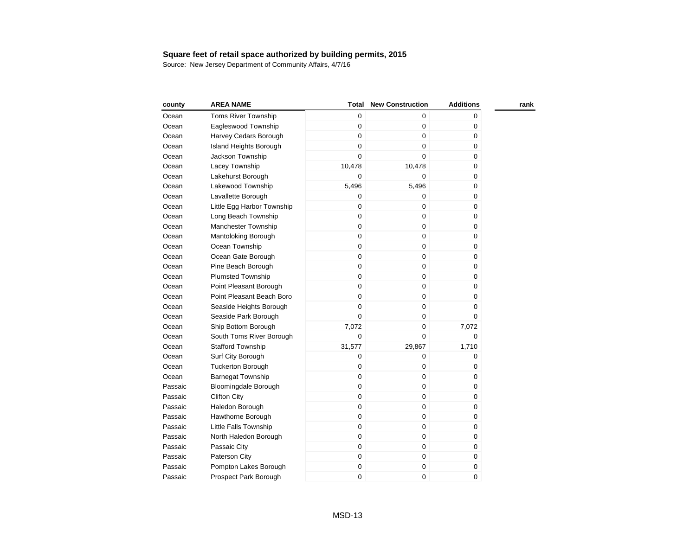| county  | <b>AREA NAME</b>            | Total  | <b>New Construction</b> | <b>Additions</b> | rank |
|---------|-----------------------------|--------|-------------------------|------------------|------|
| Ocean   | <b>Toms River Township</b>  | 0      | 0                       | 0                |      |
| Ocean   | Eagleswood Township         | 0      | 0                       | 0                |      |
| Ocean   | Harvey Cedars Borough       | 0      | 0                       | 0                |      |
| Ocean   | Island Heights Borough      | 0      | 0                       | 0                |      |
| Ocean   | Jackson Township            | 0      | $\Omega$                | 0                |      |
| Ocean   | Lacey Township              | 10,478 | 10,478                  | 0                |      |
| Ocean   | Lakehurst Borough           | 0      | 0                       | 0                |      |
| Ocean   | Lakewood Township           | 5,496  | 5,496                   | 0                |      |
| Ocean   | Lavallette Borough          | 0      | 0                       | 0                |      |
| Ocean   | Little Egg Harbor Township  | 0      | 0                       | 0                |      |
| Ocean   | Long Beach Township         | 0      | 0                       | 0                |      |
| Ocean   | Manchester Township         | 0      | 0                       | 0                |      |
| Ocean   | Mantoloking Borough         | 0      | 0                       | 0                |      |
| Ocean   | Ocean Township              | 0      | 0                       | 0                |      |
| Ocean   | Ocean Gate Borough          | 0      | 0                       | 0                |      |
| Ocean   | Pine Beach Borough          | 0      | 0                       | 0                |      |
| Ocean   | <b>Plumsted Township</b>    | 0      | 0                       | 0                |      |
| Ocean   | Point Pleasant Borough      | 0      | 0                       | 0                |      |
| Ocean   | Point Pleasant Beach Boro   | 0      | 0                       | 0                |      |
| Ocean   | Seaside Heights Borough     | 0      | 0                       | 0                |      |
| Ocean   | Seaside Park Borough        | 0      | 0                       | 0                |      |
| Ocean   | Ship Bottom Borough         | 7,072  | 0                       | 7,072            |      |
| Ocean   | South Toms River Borough    | 0      | 0                       | 0                |      |
| Ocean   | <b>Stafford Township</b>    | 31,577 | 29,867                  | 1,710            |      |
| Ocean   | Surf City Borough           | 0      | 0                       | 0                |      |
| Ocean   | <b>Tuckerton Borough</b>    | 0      | 0                       | 0                |      |
| Ocean   | <b>Barnegat Township</b>    | 0      | 0                       | 0                |      |
| Passaic | <b>Bloomingdale Borough</b> | 0      | 0                       | 0                |      |
| Passaic | <b>Clifton City</b>         | 0      | 0                       | 0                |      |
| Passaic | Haledon Borough             | 0      | 0                       | 0                |      |
| Passaic | Hawthorne Borough           | 0      | 0                       | 0                |      |
| Passaic | Little Falls Township       | 0      | 0                       | 0                |      |
| Passaic | North Haledon Borough       | 0      | 0                       | 0                |      |
| Passaic | Passaic City                | 0      | 0                       | 0                |      |
| Passaic | Paterson City               | 0      | 0                       | 0                |      |
| Passaic | Pompton Lakes Borough       | 0      | 0                       | 0                |      |
| Passaic | Prospect Park Borough       | 0      | 0                       | 0                |      |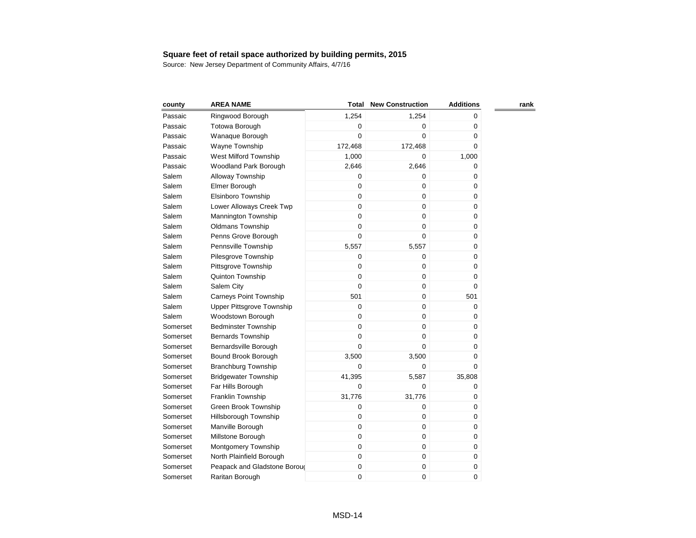| county   | <b>AREA NAME</b>              | Total       | <b>New Construction</b> | <b>Additions</b> | rank |
|----------|-------------------------------|-------------|-------------------------|------------------|------|
| Passaic  | Ringwood Borough              | 1,254       | 1,254                   | 0                |      |
| Passaic  | <b>Totowa Borough</b>         | 0           | $\mathbf 0$             | 0                |      |
| Passaic  | Wanaque Borough               | $\mathbf 0$ | $\mathbf 0$             | 0                |      |
| Passaic  | Wayne Township                | 172,468     | 172,468                 | $\pmb{0}$        |      |
| Passaic  | West Milford Township         | 1,000       | $\mathbf 0$             | 1,000            |      |
| Passaic  | Woodland Park Borough         | 2,646       | 2,646                   | 0                |      |
| Salem    | Alloway Township              | $\mathbf 0$ | 0                       | 0                |      |
| Salem    | Elmer Borough                 | $\mathbf 0$ | $\mathbf 0$             | $\pmb{0}$        |      |
| Salem    | Elsinboro Township            | $\mathbf 0$ | 0                       | 0                |      |
| Salem    | Lower Alloways Creek Twp      | $\mathbf 0$ | $\mathbf 0$             | 0                |      |
| Salem    | <b>Mannington Township</b>    | $\mathbf 0$ | $\mathbf 0$             | 0                |      |
| Salem    | <b>Oldmans Township</b>       | $\mathbf 0$ | $\pmb{0}$               | 0                |      |
| Salem    | Penns Grove Borough           | $\pmb{0}$   | 0                       | $\pmb{0}$        |      |
| Salem    | Pennsville Township           | 5,557       | 5,557                   | $\pmb{0}$        |      |
| Salem    | Pilesgrove Township           | $\mathbf 0$ | $\pmb{0}$               | $\mathbf 0$      |      |
| Salem    | Pittsgrove Township           | $\mathbf 0$ | $\pmb{0}$               | 0                |      |
| Salem    | Quinton Township              | $\mathbf 0$ | $\boldsymbol{0}$        | 0                |      |
| Salem    | Salem City                    | $\mathbf 0$ | $\pmb{0}$               | 0                |      |
| Salem    | <b>Carneys Point Township</b> | 501         | $\mathbf 0$             | 501              |      |
| Salem    | Upper Pittsgrove Township     | $\mathbf 0$ | $\boldsymbol{0}$        | 0                |      |
| Salem    | Woodstown Borough             | $\mathbf 0$ | $\boldsymbol{0}$        | 0                |      |
| Somerset | <b>Bedminster Township</b>    | $\mathbf 0$ | $\boldsymbol{0}$        | 0                |      |
| Somerset | <b>Bernards Township</b>      | $\mathbf 0$ | $\mathbf 0$             | 0                |      |
| Somerset | Bernardsville Borough         | $\mathbf 0$ | $\mathbf 0$             | 0                |      |
| Somerset | Bound Brook Borough           | 3,500       | 3,500                   | 0                |      |
| Somerset | <b>Branchburg Township</b>    | $\mathbf 0$ | $\pmb{0}$               | 0                |      |
| Somerset | <b>Bridgewater Township</b>   | 41,395      | 5,587                   | 35,808           |      |
| Somerset | Far Hills Borough             | $\mathbf 0$ | 0                       | 0                |      |
| Somerset | Franklin Township             | 31,776      | 31,776                  | 0                |      |
| Somerset | Green Brook Township          | $\mathbf 0$ | $\pmb{0}$               | 0                |      |
| Somerset | Hillsborough Township         | $\mathbf 0$ | 0                       | 0                |      |
| Somerset | Manville Borough              | $\mathbf 0$ | 0                       | 0                |      |
| Somerset | Millstone Borough             | $\mathbf 0$ | $\mathbf 0$             | 0                |      |
| Somerset | Montgomery Township           | $\mathbf 0$ | $\mathbf 0$             | 0                |      |
| Somerset | North Plainfield Borough      | $\mathbf 0$ | $\pmb{0}$               | 0                |      |
| Somerset | Peapack and Gladstone Boroug  | $\pmb{0}$   | $\pmb{0}$               | $\pmb{0}$        |      |
| Somerset | Raritan Borough               | $\mathbf 0$ | 0                       | 0                |      |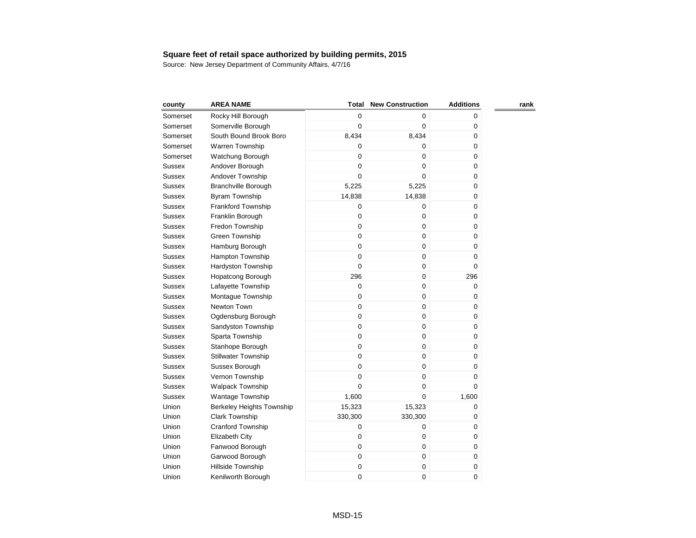| county        | <b>AREA NAME</b>           | <b>Total</b> | <b>New Construction</b> | <b>Additions</b> | rank |
|---------------|----------------------------|--------------|-------------------------|------------------|------|
| Somerset      | Rocky Hill Borough         | $\mathbf 0$  | 0                       | 0                |      |
| Somerset      | Somerville Borough         | 0            | $\overline{0}$          | 0                |      |
| Somerset      | South Bound Brook Boro     | 8,434        | 8,434                   | 0                |      |
| Somerset      | Warren Township            | 0            | 0                       | 0                |      |
| Somerset      | Watchung Borough           | 0            | 0                       | 0                |      |
| Sussex        | Andover Borough            | 0            | 0                       | 0                |      |
| Sussex        | Andover Township           | 0            | $\Omega$                | 0                |      |
| Sussex        | Branchville Borough        | 5,225        | 5,225                   | 0                |      |
| Sussex        | Byram Township             | 14,838       | 14,838                  | 0                |      |
| <b>Sussex</b> | Frankford Township         | 0            | 0                       | 0                |      |
| <b>Sussex</b> | Franklin Borough           | 0            | 0                       | 0                |      |
| <b>Sussex</b> | Fredon Township            | $\mathbf 0$  | 0                       | 0                |      |
| Sussex        | Green Township             | 0            | 0                       | 0                |      |
| Sussex        | Hamburg Borough            | 0            | 0                       | 0                |      |
| <b>Sussex</b> | Hampton Township           | 0            | 0                       | 0                |      |
| Sussex        | Hardyston Township         | 0            | 0                       | 0                |      |
| Sussex        | <b>Hopatcong Borough</b>   | 296          | 0                       | 296              |      |
| <b>Sussex</b> | Lafayette Township         | $\mathbf 0$  | 0                       | 0                |      |
| <b>Sussex</b> | Montague Township          | $\mathbf 0$  | 0                       | 0                |      |
| <b>Sussex</b> | Newton Town                | $\mathbf 0$  | 0                       | 0                |      |
| <b>Sussex</b> | Ogdensburg Borough         | $\mathbf 0$  | 0                       | 0                |      |
| <b>Sussex</b> | Sandyston Township         | 0            | 0                       | 0                |      |
| <b>Sussex</b> | Sparta Township            | $\mathbf 0$  | 0                       | 0                |      |
| <b>Sussex</b> | Stanhope Borough           | $\mathbf 0$  | 0                       | 0                |      |
| <b>Sussex</b> | <b>Stillwater Township</b> | $\mathbf 0$  | 0                       | 0                |      |
| <b>Sussex</b> | Sussex Borough             | 0            | 0                       | 0                |      |
| Sussex        | Vernon Township            | $\mathbf 0$  | 0                       | 0                |      |
| Sussex        | Walpack Township           | 0            | 0                       | 0                |      |
| <b>Sussex</b> | <b>Wantage Township</b>    | 1,600        | 0                       | 1,600            |      |
| Union         | Berkeley Heights Township  | 15,323       | 15,323                  | 0                |      |
| Union         | <b>Clark Township</b>      | 330,300      | 330,300                 | 0                |      |
| Union         | Cranford Township          | 0            | 0                       | 0                |      |
| Union         | Elizabeth City             | 0            | 0                       | 0                |      |
| Union         | Fanwood Borough            | $\mathbf 0$  | 0                       | 0                |      |
| Union         | Garwood Borough            | 0            | 0                       | 0                |      |
| Union         | Hillside Township          | 0            | 0                       | 0                |      |
| Union         | Kenilworth Borough         | 0            | 0                       | 0                |      |